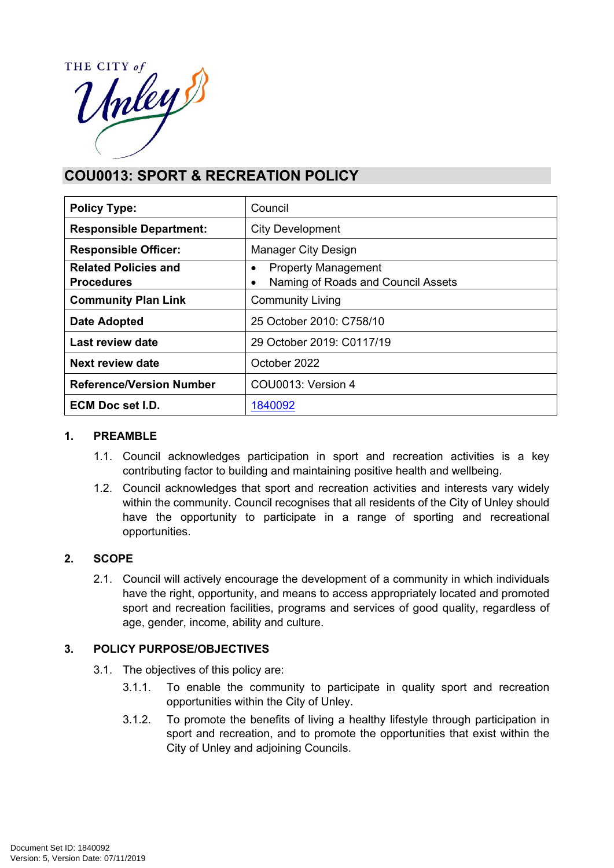THE CITY of HE CITY of

# **COU0013: SPORT & RECREATION POLICY**

| <b>Policy Type:</b>                              | Council                                                                            |
|--------------------------------------------------|------------------------------------------------------------------------------------|
| <b>Responsible Department:</b>                   | <b>City Development</b>                                                            |
| <b>Responsible Officer:</b>                      | <b>Manager City Design</b>                                                         |
| <b>Related Policies and</b><br><b>Procedures</b> | <b>Property Management</b><br>$\bullet$<br>Naming of Roads and Council Assets<br>٠ |
| <b>Community Plan Link</b>                       | <b>Community Living</b>                                                            |
| Date Adopted                                     | 25 October 2010: C758/10                                                           |
| Last review date                                 | 29 October 2019: C0117/19                                                          |
| <b>Next review date</b>                          | October 2022                                                                       |
| <b>Reference/Version Number</b>                  | COU0013: Version 4                                                                 |
| <b>ECM Doc set I.D.</b>                          | 1840092                                                                            |

#### **1. PREAMBLE**

- 1.1. Council acknowledges participation in sport and recreation activities is a key contributing factor to building and maintaining positive health and wellbeing.
- 1.2. Council acknowledges that sport and recreation activities and interests vary widely within the community. Council recognises that all residents of the City of Unley should have the opportunity to participate in a range of sporting and recreational opportunities.

## **2. SCOPE**

2.1. Council will actively encourage the development of a community in which individuals have the right, opportunity, and means to access appropriately located and promoted sport and recreation facilities, programs and services of good quality, regardless of age, gender, income, ability and culture.

## **3. POLICY PURPOSE/OBJECTIVES**

- 3.1. The objectives of this policy are:
	- 3.1.1. To enable the community to participate in quality sport and recreation opportunities within the City of Unley.
	- 3.1.2. To promote the benefits of living a healthy lifestyle through participation in sport and recreation, and to promote the opportunities that exist within the City of Unley and adjoining Councils.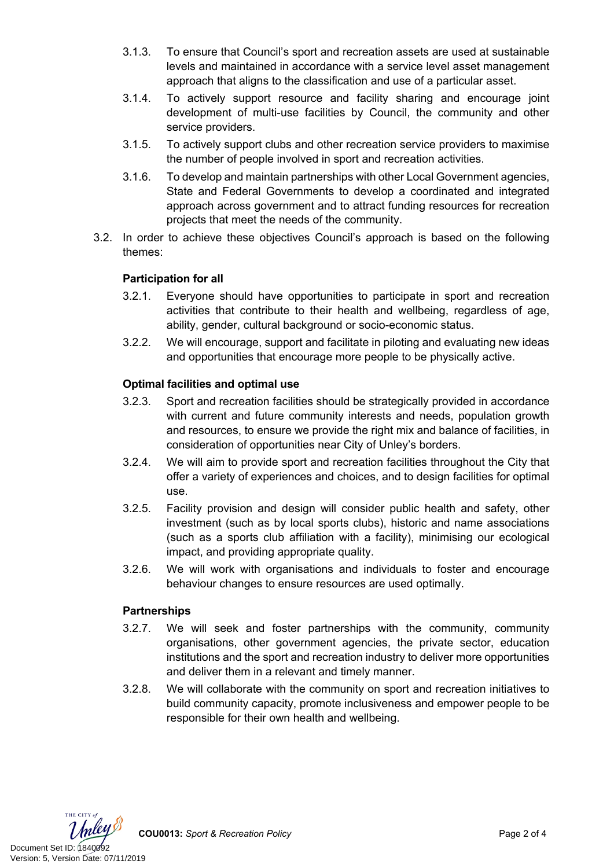- 3.1.3. To ensure that Council's sport and recreation assets are used at sustainable levels and maintained in accordance with a service level asset management approach that aligns to the classification and use of a particular asset.
- 3.1.4. To actively support resource and facility sharing and encourage joint development of multi-use facilities by Council, the community and other service providers.
- 3.1.5. To actively support clubs and other recreation service providers to maximise the number of people involved in sport and recreation activities.
- 3.1.6. To develop and maintain partnerships with other Local Government agencies, State and Federal Governments to develop a coordinated and integrated approach across government and to attract funding resources for recreation projects that meet the needs of the community.
- 3.2. In order to achieve these objectives Council's approach is based on the following themes:

# **Participation for all**

- 3.2.1. Everyone should have opportunities to participate in sport and recreation activities that contribute to their health and wellbeing, regardless of age, ability, gender, cultural background or socio-economic status.
- 3.2.2. We will encourage, support and facilitate in piloting and evaluating new ideas and opportunities that encourage more people to be physically active.

## **Optimal facilities and optimal use**

- 3.2.3. Sport and recreation facilities should be strategically provided in accordance with current and future community interests and needs, population growth and resources, to ensure we provide the right mix and balance of facilities, in consideration of opportunities near City of Unley's borders.
- 3.2.4. We will aim to provide sport and recreation facilities throughout the City that offer a variety of experiences and choices, and to design facilities for optimal use.
- 3.2.5. Facility provision and design will consider public health and safety, other investment (such as by local sports clubs), historic and name associations (such as a sports club affiliation with a facility), minimising our ecological impact, and providing appropriate quality.
- 3.2.6. We will work with organisations and individuals to foster and encourage behaviour changes to ensure resources are used optimally.

## **Partnerships**

- 3.2.7. We will seek and foster partnerships with the community, community organisations, other government agencies, the private sector, education institutions and the sport and recreation industry to deliver more opportunities and deliver them in a relevant and timely manner.
- 3.2.8. We will collaborate with the community on sport and recreation initiatives to build community capacity, promote inclusiveness and empower people to be responsible for their own health and wellbeing.

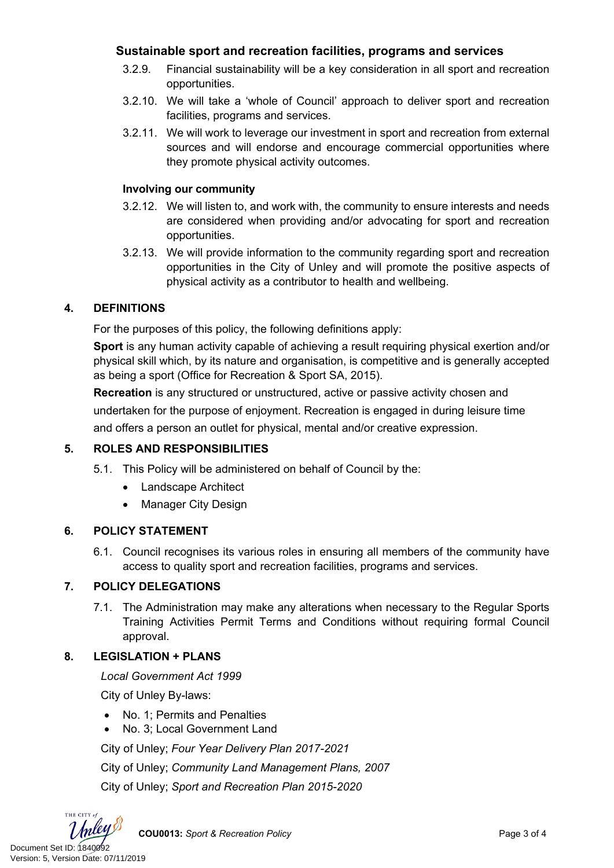# **Sustainable sport and recreation facilities, programs and services**

- 3.2.9. Financial sustainability will be a key consideration in all sport and recreation opportunities.
- 3.2.10. We will take a 'whole of Council' approach to deliver sport and recreation facilities, programs and services.
- 3.2.11. We will work to leverage our investment in sport and recreation from external sources and will endorse and encourage commercial opportunities where they promote physical activity outcomes.

#### **Involving our community**

- 3.2.12. We will listen to, and work with, the community to ensure interests and needs are considered when providing and/or advocating for sport and recreation opportunities.
- 3.2.13. We will provide information to the community regarding sport and recreation opportunities in the City of Unley and will promote the positive aspects of physical activity as a contributor to health and wellbeing.

## **4. DEFINITIONS**

For the purposes of this policy, the following definitions apply:

**Sport** is any human activity capable of achieving a result requiring physical exertion and/or physical skill which, by its nature and organisation, is competitive and is generally accepted as being a sport (Office for Recreation & Sport SA, 2015).

**Recreation** is any structured or unstructured, active or passive activity chosen and undertaken for the purpose of enjoyment. Recreation is engaged in during leisure time and offers a person an outlet for physical, mental and/or creative expression.

## **5. ROLES AND RESPONSIBILITIES**

5.1. This Policy will be administered on behalf of Council by the:

- Landscape Architect
- Manager City Design

## **6. POLICY STATEMENT**

6.1. Council recognises its various roles in ensuring all members of the community have access to quality sport and recreation facilities, programs and services.

## **7. POLICY DELEGATIONS**

7.1. The Administration may make any alterations when necessary to the Regular Sports Training Activities Permit Terms and Conditions without requiring formal Council approval.

## **8. LEGISLATION + PLANS**

*Local Government Act 1999*

City of Unley By-laws:

- No. 1: Permits and Penalties
- No. 3; Local Government Land

City of Unley; *Four Year Delivery Plan 2017-2021* City of Unley; *Community Land Management Plans, 2007* City of Unley; *Sport and Recreation Plan 2015-2020*

THE CITY of

**COU0013:** *Sport & Recreation Policy* Page 3 of 4